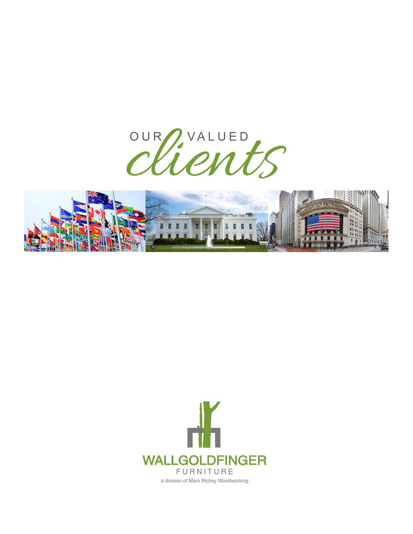



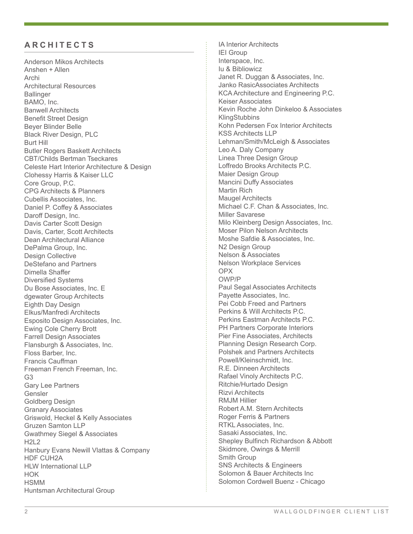## **ARCHITECTS**

Anderson Mikos Architects Anshen + Allen Archi Architectural Resources **Ballinger** BAMO, Inc. Banwell Architects Benefit Street Design Beyer Blinder Belle Black River Design, PLC Burt Hill Butler Rogers Baskett Architects CBT/Childs Bertman Tseckares Celeste Hart Interior Architecture & Design Clohessy Harris & Kaiser LLC Core Group, P.C. CPG Architects & Planners Cubellis Associates, Inc. Daniel P. Coffey & Associates Daroff Design, Inc. Davis Carter Scott Design Davis, Carter, Scott Architects Dean Architectural Alliance DePalma Group, Inc. Design Collective DeStefano and Partners Dimella Shaffer Diversified Systems Du Bose Associates, Inc. E dgewater Group Architects Eighth Day Design Elkus/Manfredi Architects Esposito Design Associates, Inc. Ewing Cole Cherry Brott Farrell Design Associates Flansburgh & Associates, Inc. Floss Barber, Inc. Francis Cauffman Freeman French Freeman, Inc. G3 Gary Lee Partners Gensler Goldberg Design Granary Associates Griswold, Heckel & Kelly Associates Gruzen Samton LLP Gwathmey Siegel & Associates H2L2 Hanbury Evans Newill Vlattas & Company HDF CUH2A HLW International LLP HOK **HSMM** Huntsman Architectural Group

IA Interior Architects IEI Group Interspace, Inc. Iu & Bibliowicz Janet R. Duggan & Associates, Inc. Janko RasicAssociates Architects KCA Architecture and Engineering P.C. Keiser Associates Kevin Roche John Dinkeloo & Associates **KlingStubbins** Kohn Pedersen Fox Interior Architects KSS Architects LLP Lehman/Smith/McLeigh & Associates Leo A. Daly Company Linea Three Design Group Loffredo Brooks Architects P.C. Maier Design Group Mancini Duffy Associates Martin Rich Maugel Architects Michael C.F. Chan & Associates, Inc. Miller Savarese Milo Kleinberg Design Associates, Inc. Moser Pilon Nelson Architects Moshe Safdie & Associates, Inc. N2 Design Group Nelson & Associates Nelson Workplace Services OPX OWP/P Paul Segal Associates Architects Payette Associates, Inc. Pei Cobb Freed and Partners Perkins & Will Architects P.C. Perkins Eastman Architects P.C. PH Partners Corporate Interiors Pier Fine Associates, Architects Planning Design Research Corp. Polshek and Partners Architects Powell/Kleinschmidt, Inc. R.E. Dinneen Architects Rafael Vinoly Architects P.C. Ritchie/Hurtado Design Rizvi Architects RMJM Hillier Robert A.M. Stern Architects Roger Ferris & Partners RTKL Associates, Inc. Sasaki Associates, Inc. Shepley Bulfinch Richardson & Abbott Skidmore, Owings & Merrill Smith Group SNS Architects & Engineers Solomon & Bauer Architects Inc Solomon Cordwell Buenz - Chicago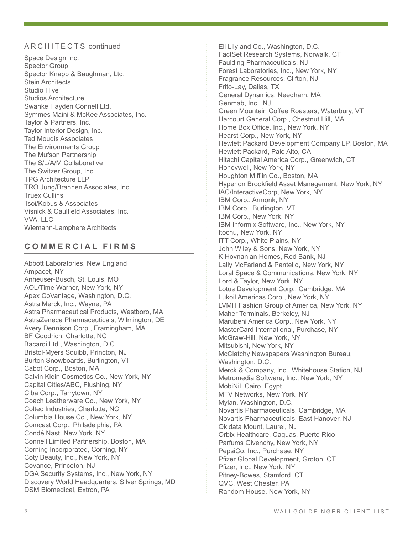Space Design Inc. Spector Group Spector Knapp & Baughman, Ltd. Stein Architects Studio Hive Studios Architecture Swanke Hayden Connell Ltd. Symmes Maini & McKee Associates, Inc. Taylor & Partners, Inc. Taylor Interior Design, Inc. Ted Moudis Associates The Environments Group The Mufson Partnership The S/L/A/M Collaborative The Switzer Group, Inc. TPG Architecture LLP TRO Jung/Brannen Associates, Inc. Truex Cullins Tsoi/Kobus & Associates Visnick & Caulfield Associates, Inc. VVA, LLC Wiemann-Lamphere Architects

# **COMMERCIAL FIRMS**

Abbott Laboratories, New England Ampacet, NY Anheuser-Busch, St. Louis, MO AOL/Time Warner, New York, NY Apex CoVantage, Washington, D.C. Astra Merck, Inc., Wayne, PA Astra Pharmaceutical Products, Westboro, MA AstraZeneca Pharmaceuticals, Wilmington, DE Avery Dennison Corp., Framingham, MA BF Goodrich, Charlotte, NC Bacardi Ltd., Washington, D.C. Bristol-Myers Squibb, Princton, NJ Burton Snowboards, Burlington, VT Cabot Corp., Boston, MA Calvin Klein Cosmetics Co., New York, NY Capital Cities/ABC, Flushing, NY Ciba Corp., Tarrytown, NY Coach Leatherware Co., New York, NY Coltec Industries, Charlotte, NC Columbia House Co., New York, NY Comcast Corp., Philadelphia, PA Condé Nast, New York, NY Connell Limited Partnership, Boston, MA Corning Incorporated, Corning, NY Coty Beauty, Inc., New York, NY Covance, Princeton, NJ DGA Security Systems, Inc., New York, NY Discovery World Headquarters, Silver Springs, MD DSM Biomedical, Extron, PA

A R C H I T E C T S continued Elimintary Co., Washington, D.C. FactSet Research Systems, Norwalk, CT Faulding Pharmaceuticals, NJ Forest Laboratories, Inc., New York, NY Fragrance Resources, Clifton, NJ Frito-Lay, Dallas, TX General Dynamics, Needham, MA Genmab, Inc., NJ Green Mountain Coffee Roasters, Waterbury, VT Harcourt General Corp., Chestnut Hill, MA Home Box Office, Inc., New York, NY Hearst Corp., New York, NY Hewlett Packard Development Company LP, Boston, MA Hewlett Packard, Palo Alto, CA Hitachi Capital America Corp., Greenwich, CT Honeywell, New York, NY Houghton Mifflin Co., Boston, MA Hyperion Brookfield Asset Management, New York, NY IAC/InteractiveCorp, New York, NY IBM Corp., Armonk, NY IBM Corp., Burlington, VT IBM Corp., New York, NY IBM Informix Software, Inc., New York, NY Itochu, New York, NY ITT Corp., White Plains, NY John Wiley & Sons, New York, NY K Hovnanian Homes, Red Bank, NJ Lally McFarland & Pantello, New York, NY Loral Space & Communications, New York, NY Lord & Taylor, New York, NY Lotus Development Corp., Cambridge, MA Lukoil Americas Corp., New York, NY LVMH Fashion Group of America, New York, NY Maher Terminals, Berkeley, NJ Marubeni America Corp., New York, NY MasterCard International, Purchase, NY McGraw-Hill, New York, NY Mitsubishi, New York, NY McClatchy Newspapers Washington Bureau, Washington, D.C. Merck & Company, Inc., Whitehouse Station, NJ Metromedia Software, Inc., New York, NY MobiNil, Cairo, Egypt MTV Networks, New York, NY Mylan, Washington, D.C. Novartis Pharmaceuticals, Cambridge, MA Novartis Pharmaceuticals, East Hanover, NJ Okidata Mount, Laurel, NJ Orbix Healthcare, Caguas, Puerto Rico Parfums Givenchy, New York, NY PepsiCo, Inc., Purchase, NY Pfizer Global Development, Groton, CT Pfizer, Inc., New York, NY Pitney-Bowes, Stamford, CT QVC, West Chester, PA Random House, New York, NY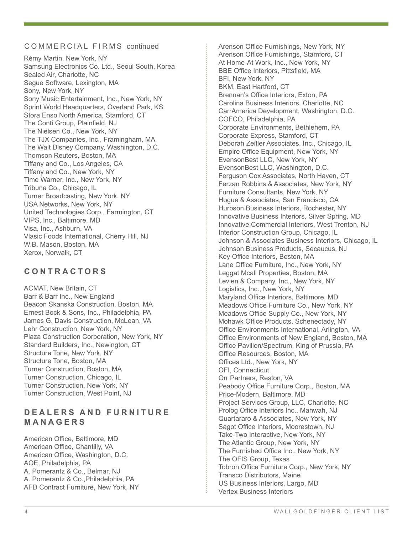#### COMMERCIAL FIRMS continued

Rémy Martin, New York, NY Samsung Electronics Co. Ltd., Seoul South, Korea Sealed Air, Charlotte, NC Segue Software, Lexington, MA Sony, New York, NY Sony Music Entertainment, Inc., New York, NY Sprint World Headquarters, Overland Park, KS Stora Enso North America, Stamford, CT The Conti Group, Plainfield, NJ The Nielsen Co., New York, NY The TJX Companies, Inc., Framingham, MA The Walt Disney Company, Washington, D.C. Thomson Reuters, Boston, MA Tiffany and Co., Los Angeles, CA Tiffany and Co., New York, NY Time Warner, Inc., New York, NY Tribune Co., Chicago, IL Turner Broadcasting, New York, NY USA Networks, New York, NY United Technologies Corp., Farmington, CT VIPS, Inc., Baltimore, MD Visa, Inc., Ashburn, VA Vlasic Foods International, Cherry Hill, NJ W.B. Mason, Boston, MA Xerox, Norwalk, CT

# **CONTRACTORS**

ACMAT, New Britain, CT Barr & Barr Inc., New England Beacon Skanska Construction, Boston, MA Ernest Bock & Sons, Inc., Philadelphia, PA James G. Davis Construction, McLean, VA Lehr Construction, New York, NY Plaza Construction Corporation, New York, NY Standard Builders, Inc., Newington, CT Structure Tone, New York, NY Structure Tone, Boston, MA Turner Construction, Boston, MA Turner Construction, Chicago, IL Turner Construction, New York, NY Turner Construction, West Point, NJ

## **D E A L E R S A N D F U R N I T U R E MANAGERS**

American Office, Baltimore, MD American Office, Chantilly, VA American Office, Washington, D.C. AOE, Philadelphia, PA A. Pomerantz & Co., Belmar, NJ A. Pomerantz & Co.,Philadelphia, PA AFD Contract Furniture, New York, NY

Arenson Office Furnishings, New York, NY Arenson Office Furnishings, Stamford, CT At Home-At Work, Inc., New York, NY BBE Office Interiors, Pittsfield, MA BFI, New York, NY BKM, East Hartford, CT Brennan's Office Interiors, Exton, PA Carolina Business Interiors, Charlotte, NC CarrAmerica Development, Washington, D.C. COFCO, Philadelphia, PA Corporate Environments, Bethlehem, PA Corporate Express, Stamford, CT Deborah Zeitler Associates, Inc., Chicago, IL Empire Office Equipment, New York, NY EvensonBest LLC, New York, NY EvensonBest LLC, Washington, D.C. Ferguson Cox Associates, North Haven, CT Ferzan Robbins & Associates, New York, NY Furniture Consultants, New York, NY Hogue & Associates, San Francisco, CA Hurbson Business Interiors, Rochester, NY Innovative Business Interiors, Silver Spring, MD Innovative Commercial Interiors, West Trenton, NJ Interior Construction Group, Chicago, IL Johnson & Associates Business Interiors, Chicago, IL Johnson Business Products, Secaucus, NJ Key Office Interiors, Boston, MA Lane Office Furniture, Inc., New York, NY Leggat Mcall Properties, Boston, MA Levien & Company, Inc., New York, NY Logistics, Inc., New York, NY Maryland Office Interiors, Baltimore, MD Meadows Office Furniture Co., New York, NY Meadows Office Supply Co., New York, NY Mohawk Office Products, Schenectady, NY Office Environments International, Arlington, VA Office Environments of New England, Boston, MA Office Pavilion/Spectrum, King of Prussia, PA Office Resources, Boston, MA Offices Ltd., New York, NY OFI, Connecticut Orr Partners, Reston, VA Peabody Office Furniture Corp., Boston, MA Price-Modern, Baltimore, MD Project Services Group, LLC, Charlotte, NC Prolog Office Interiors Inc., Mahwah, NJ Quartararo & Associates, New York, NY Sagot Office Interiors, Moorestown, NJ Take-Two Interactive, New York, NY The Atlantic Group, New York, NY The Furnished Office Inc., New York, NY The OFIS Group, Texas Tobron Office Furniture Corp., New York, NY Transco Distributors, Maine US Business Interiors, Largo, MD Vertex Business Interiors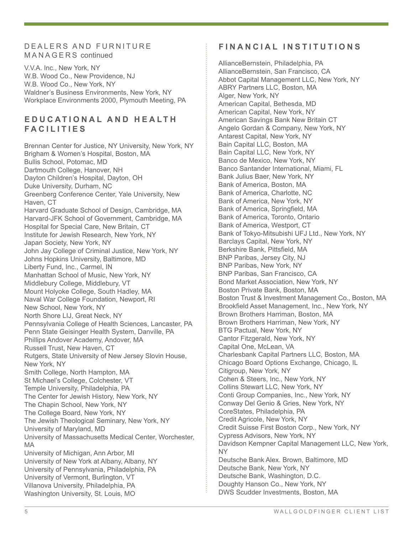### D E A L E R S A N D F U R N I T U R E M A N A G E R S continued

V.V.A. Inc., New York, NY W.B. Wood Co., New Providence, NJ W.B. Wood Co., New York, NY Waldner's Business Environments, New York, NY Workplace Environments 2000, Plymouth Meeting, PA

## **E D U C A T I O N A L A N D H E A L T H FACILITIES**

Brennan Center for Justice, NY University, New York, NY Brigham & Women's Hospital, Boston, MA Bullis School, Potomac, MD Dartmouth College, Hanover, NH Dayton Children's Hospital, Dayton, OH Duke University, Durham, NC Greenberg Conference Center, Yale University, New Haven, CT Harvard Graduate School of Design, Cambridge, MA Harvard-JFK School of Government, Cambridge, MA Hospital for Special Care, New Britain, CT Institute for Jewish Research, New York, NY Japan Society, New York, NY John Jay College of Criminal Justice, New York, NY Johns Hopkins University, Baltimore, MD Liberty Fund, Inc., Carmel, IN Manhattan School of Music, New York, NY Middlebury College, Middlebury, VT Mount Holyoke College, South Hadley, MA Naval War College Foundation, Newport, RI New School, New York, NY North Shore LIJ, Great Neck, NY Pennsylvania College of Health Sciences, Lancaster, PA Penn State Geisinger Health System, Danville, PA Phillips Andover Academy, Andover, MA Russell Trust, New Haven, CT Rutgers, State University of New Jersey Slovin House, New York, NY Smith College, North Hampton, MA St Michael's College, Colchester, VT Temple University, Philadelphia, PA The Center for Jewish History, New York, NY The Chapin School, New York, NY The College Board, New York, NY The Jewish Theological Seminary, New York, NY University of Maryland, MD University of Massachusetts Medical Center, Worchester, MA University of Michigan, Ann Arbor, MI University of New York at Albany, Albany, NY University of Pennsylvania, Philadelphia, PA University of Vermont, Burlington, VT Villanova University, Philadelphia, PA Washington University, St. Louis, MO

## **FINANCIAL INSTITUTIONS**

AllianceBernstein, Philadelphia, PA AllianceBernstein, San Francisco, CA Abbot Capital Management LLC, New York, NY ABRY Partners LLC, Boston, MA Alger, New York, NY American Capital, Bethesda, MD American Capital, New York, NY American Savings Bank New Britain CT Angelo Gordan & Company, New York, NY Antarest Capital, New York, NY Bain Capital LLC, Boston, MA Bain Capital LLC, New York, NY Banco de Mexico, New York, NY Banco Santander International, Miami, FL Bank Julius Baer, New York, NY Bank of America, Boston, MA Bank of America, Charlotte, NC Bank of America, New York, NY Bank of America, Springfield, MA Bank of America, Toronto, Ontario Bank of America, Westport, CT Bank of Tokyo-Mitsubishi UFJ Ltd., New York, NY Barclays Capital, New York, NY Berkshire Bank, Pittsfield, MA BNP Paribas, Jersey City, NJ BNP Paribas, New York, NY BNP Paribas, San Francisco, CA Bond Market Association, New York, NY Boston Private Bank, Boston, MA Boston Trust & Investment Management Co., Boston, MA Brookfield Asset Management, Inc., New York, NY Brown Brothers Harriman, Boston, MA Brown Brothers Harriman, New York, NY BTG Pactual, New York, NY Cantor Fitzgerald, New York, NY Capital One, McLean, VA Charlesbank Capital Partners LLC, Boston, MA Chicago Board Options Exchange, Chicago, IL Citigroup, New York, NY Cohen & Steers, Inc., New York, NY Collins Stewart LLC, New York, NY Conti Group Companies, Inc., New York, NY Conway Del Genio & Gries, New York, NY CoreStates, Philadelphia, PA Credit Agricole, New York, NY Credit Suisse First Boston Corp., New York, NY Cypress Advisors, New York, NY Davidson Kempner Capital Management LLC, New York, NY Deutsche Bank Alex. Brown, Baltimore, MD Deutsche Bank, New York, NY Deutsche Bank, Washington, D.C. Doughty Hanson Co., New York, NY DWS Scudder Investments, Boston, MA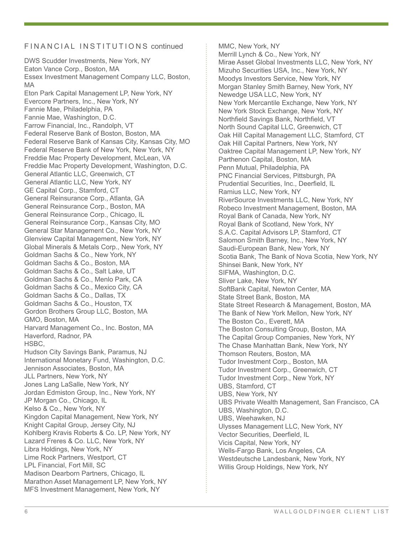#### FIN A N C I A L IN S TITUTIONS continued

DWS Scudder Investments, New York, NY Eaton Vance Corp., Boston, MA Essex Investment Management Company LLC, Boston, MA Eton Park Capital Management LP, New York, NY Evercore Partners, Inc., New York, NY Fannie Mae, Philadelphia, PA Fannie Mae, Washington, D.C. Farrow Financial, Inc., Randolph, VT Federal Reserve Bank of Boston, Boston, MA Federal Reserve Bank of Kansas City, Kansas City, MO Federal Reserve Bank of New York, New York, NY Freddie Mac Property Development, McLean, VA Freddie Mac Property Development, Washington, D.C. General Atlantic LLC, Greenwich, CT General Atlantic LLC, New York, NY GE Capital Corp., Stamford, CT General Reinsurance Corp., Atlanta, GA General Reinsurance Corp., Boston, MA General Reinsurance Corp., Chicago, IL General Reinsurance Corp., Kansas City, MO General Star Management Co., New York, NY Glenview Capital Management, New York, NY Global Minerals & Metals Corp., New York, NY Goldman Sachs & Co., New York, NY Goldman Sachs & Co., Boston, MA Goldman Sachs & Co., Salt Lake, UT Goldman Sachs & Co., Menlo Park, CA Goldman Sachs & Co., Mexico City, CA Goldman Sachs & Co., Dallas, TX Goldman Sachs & Co., Houston, TX Gordon Brothers Group LLC, Boston, MA GMO, Boston, MA Harvard Management Co., Inc. Boston, MA Haverford, Radnor, PA HSBC, Hudson City Savings Bank, Paramus, NJ International Monetary Fund, Washington, D.C. Jennison Associates, Boston, MA JLL Partners, New York, NY Jones Lang LaSalle, New York, NY Jordan Edmiston Group, Inc., New York, NY JP Morgan Co., Chicago, IL Kelso & Co., New York, NY Kingdon Capital Management, New York, NY Knight Capital Group, Jersey City, NJ Kohlberg Kravis Roberts & Co. LP, New York, NY Lazard Freres & Co. LLC, New York, NY Libra Holdings, New York, NY Lime Rock Partners, Westport, CT LPL Financial, Fort Mill, SC Madison Dearborn Partners, Chicago, IL Marathon Asset Management LP, New York, NY MFS Investment Management, New York, NY

MMC, New York, NY Merrill Lynch & Co., New York, NY Mirae Asset Global Investments LLC, New York, NY Mizuho Securities USA, Inc., New York, NY Moodys Investors Service, New York, NY Morgan Stanley Smith Barney, New York, NY Newedge USA LLC, New York, NY New York Mercantile Exchange, New York, NY New York Stock Exchange, New York, NY Northfield Savings Bank, Northfield, VT North Sound Capital LLC, Greenwich, CT Oak Hill Capital Management LLC, Stamford, CT Oak Hill Capital Partners, New York, NY Oaktree Capital Management LP, New York, NY Parthenon Capital, Boston, MA Penn Mutual, Philadelphia, PA PNC Financial Services, Pittsburgh, PA Prudential Securities, Inc., Deerfield, IL Ramius LLC, New York, NY RiverSource Investments LLC, New York, NY Robeco Investment Management, Boston, MA Royal Bank of Canada, New York, NY Royal Bank of Scotland, New York, NY S.A.C. Capital Advisors LP, Stamford, CT Salomon Smith Barney, Inc., New York, NY Saudi-European Bank, New York, NY Scotia Bank, The Bank of Nova Scotia, New York, NY Shinsei Bank, New York, NY SIFMA, Washington, D.C. Sliver Lake, New York, NY SoftBank Capital, Newton Center, MA State Street Bank, Boston, MA State Street Research & Management, Boston, MA The Bank of New York Mellon, New York, NY The Boston Co., Everett, MA The Boston Consulting Group, Boston, MA The Capital Group Companies, New York, NY The Chase Manhattan Bank, New York, NY Thomson Reuters, Boston, MA Tudor Investment Corp., Boston, MA Tudor Investment Corp., Greenwich, CT Tudor Investment Corp., New York, NY UBS, Stamford, CT UBS, New York, NY UBS Private Wealth Management, San Francisco, CA UBS, Washington, D.C. UBS, Weehawken, NJ Ulysses Management LLC, New York, NY Vector Securities, Deerfield, IL Vicis Capital, New York, NY Wells-Fargo Bank, Los Angeles, CA Westdeutsche Landesbank, New York, NY Willis Group Holdings, New York, NY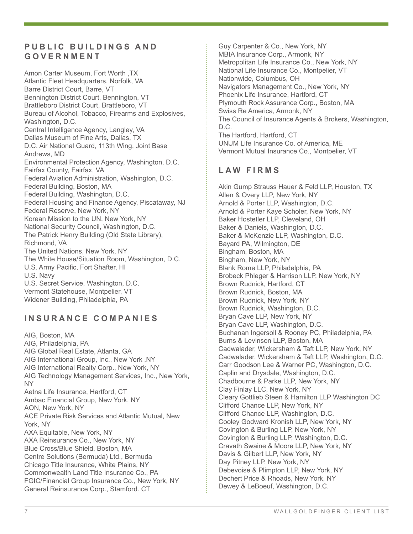## **PUBLIC BUILDINGS AND GOVERNMENT**

Amon Carter Museum, Fort Worth ,TX Atlantic Fleet Headquarters, Norfolk, VA Barre District Court, Barre, VT Bennington District Court, Bennington, VT Brattleboro District Court, Brattleboro, VT Bureau of Alcohol, Tobacco, Firearms and Explosives, Washington, D.C. Central Intelligence Agency, Langley, VA Dallas Museum of Fine Arts, Dallas, TX D.C. Air National Guard, 113th Wing, Joint Base Andrews, MD Environmental Protection Agency, Washington, D.C. Fairfax County, Fairfax, VA Federal Aviation Administration, Washington, D.C. Federal Building, Boston, MA Federal Building, Washington, D.C. Federal Housing and Finance Agency, Piscataway, NJ Federal Reserve, New York, NY Korean Mission to the UN, New York, NY National Security Council, Washington, D.C. The Patrick Henry Building (Old State Library), Richmond, VA The United Nations, New York, NY The White House/Situation Room, Washington, D.C. U.S. Army Pacific, Fort Shafter, HI U.S. Navy U.S. Secret Service, Washington, D.C. Vermont Statehouse, Montpelier, VT Widener Building, Philadelphia, PA

# **INSURANCE COMPANIES**

AIG, Boston, MA AIG, Philadelphia, PA AIG Global Real Estate, Atlanta, GA AIG International Group, Inc., New York ,NY AIG International Realty Corp., New York, NY AIG Technology Management Services, Inc., New York, NY Aetna Life Insurance, Hartford, CT Ambac Financial Group, New York, NY AON, New York, NY ACE Private Risk Services and Atlantic Mutual, New York, NY AXA Equitable, New York, NY AXA Reinsurance Co., New York, NY Blue Cross/Blue Shield, Boston, MA Centre Solutions (Bermuda) Ltd., Bermuda Chicago Title Insurance, White Plains, NY Commonwealth Land Title Insurance Co., PA FGIC/Financial Group Insurance Co., New York, NY General Reinsurance Corp., Stamford. CT

Guy Carpenter & Co., New York, NY MBIA Insurance Corp., Armonk, NY Metropolitan Life Insurance Co., New York, NY National Life Insurance Co., Montpelier, VT Nationwide, Columbus, OH Navigators Management Co., New York, NY Phoenix Life Insurance, Hartford, CT Plymouth Rock Assurance Corp., Boston, MA Swiss Re America, Armonk, NY The Council of Insurance Agents & Brokers, Washington, D.C. The Hartford, Hartford, CT UNUM Life Insurance Co. of America, ME Vermont Mutual Insurance Co., Montpelier, VT

## **LAW FIRMS**

Akin Gump Strauss Hauer & Feld LLP, Houston, TX Allen & Overy LLP, New York, NY Arnold & Porter LLP, Washington, D.C. Arnold & Porter Kaye Scholer, New York, NY Baker Hostetler LLP, Cleveland, OH Baker & Daniels, Washington, D.C. Baker & McKenzie LLP, Washington, D.C. Bayard PA, Wilmington, DE Bingham, Boston, MA Bingham, New York, NY Blank Rome LLP, Philadelphia, PA Brobeck Phleger & Harrison LLP, New York, NY Brown Rudnick, Hartford, CT Brown Rudnick, Boston, MA Brown Rudnick, New York, NY Brown Rudnick, Washington, D.C. Bryan Cave LLP, New York, NY Bryan Cave LLP, Washington, D.C. Buchanan Ingersoll & Rooney PC, Philadelphia, PA Burns & Levinson LLP, Boston, MA Cadwalader, Wickersham & Taft LLP, New York, NY Cadwalader, Wickersham & Taft LLP, Washington, D.C. Carr Goodson Lee & Warner PC, Washington, D.C. Caplin and Drysdale, Washington, D.C. Chadbourne & Parke LLP, New York, NY Clay Finlay LLC, New York, NY Cleary Gottlieb Steen & Hamilton LLP Washington DC Clifford Chance LLP, New York, NY Clifford Chance LLP, Washington, D.C. Cooley Godward Kronish LLP, New York, NY Covington & Burling LLP, New York, NY Covington & Burling LLP, Washington, D.C. Cravath Swaine & Moore LLP, New York, NY Davis & Gilbert LLP, New York, NY Day Pitney LLP, New York, NY Debevoise & Plimpton LLP, New York, NY Dechert Price & Rhoads, New York, NY Dewey & LeBoeuf, Washington, D.C.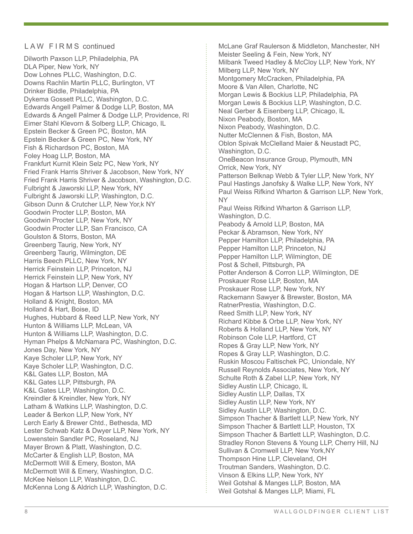### LAW FIRMS continued

Dilworth Paxson LLP, Philadelphia, PA DLA Piper, New York, NY Dow Lohnes PLLC, Washington, D.C. Downs Rachlin Martin PLLC, Burlington, VT Drinker Biddle, Philadelphia, PA Dykema Gossett PLLC, Washington, D.C. Edwards Angell Palmer & Dodge LLP, Boston, MA Edwards & Angell Palmer & Dodge LLP, Providence, RI Eimer Stahl Klevorn & Solberg LLP, Chicago, IL Epstein Becker & Green PC, Boston, MA Epstein Becker & Green PC, New York, NY Fish & Richardson PC, Boston, MA Foley Hoag LLP, Boston, MA Frankfurt Kurnit Klein Selz PC, New York, NY Fried Frank Harris Shriver & Jacobson, New York, NY Fried Frank Harris Shriver & Jacobson, Washington, D.C. Fulbright & Jaworski LLP, New York, NY Fulbright & Jaworski LLP, Washington, D.C. Gibson Dunn & Crutcher LLP, New Yor,k NY Goodwin Procter LLP, Boston, MA Goodwin Procter LLP, New York, NY Goodwin Procter LLP, San Francisco, CA Goulston & Storrs, Boston, MA Greenberg Taurig, New York, NY Greenberg Taurig, Wilmington, DE Harris Beech PLLC, New York, NY Herrick Feinstein LLP, Princeton, NJ Herrick Feinstein LLP, New York, NY Hogan & Hartson LLP, Denver, CO Hogan & Hartson LLP, Washington, D.C. Holland & Knight, Boston, MA Holland & Hart, Boise, ID Hughes, Hubbard & Reed LLP, New York, NY Hunton & Williams LLP, McLean, VA Hunton & Williams LLP, Washington, D.C. Hyman Phelps & McNamara PC, Washington, D.C. Jones Day, New York, NY Kaye Scholer LLP, New York, NY Kaye Scholer LLP, Washington, D.C. K&L Gates LLP, Boston, MA K&L Gates LLP, Pittsburgh, PA K&L Gates LLP, Washington, D.C. Kreindler & Kreindler, New York, NY Latham & Watkins LLP, Washington, D.C. Leader & Berkon LLP, New York, NY Lerch Early & Brewer Chtd., Bethesda, MD Lester Schwab Katz & Dwyer LLP, New York, NY Lowenstein Sandler PC, Roseland, NJ Mayer Brown & Platt, Washington, D.C. McCarter & English LLP, Boston, MA McDermott Will & Emery, Boston, MA McDermott Will & Emery, Washington, D.C. McKee Nelson LLP, Washington, D.C. McKenna Long & Aldrich LLP, Washington, D.C.

McLane Graf Raulerson & Middleton, Manchester, NH Meister Seeling & Fein, New York, NY Milbank Tweed Hadley & McCloy LLP, New York, NY Milberg LLP, New York, NY Montgomery McCracken, Philadelphia, PA Moore & Van Allen, Charlotte, NC Morgan Lewis & Bockius LLP, Philadelphia, PA Morgan Lewis & Bockius LLP, Washington, D.C. Neal Gerber & Eisenberg LLP, Chicago, IL Nixon Peabody, Boston, MA Nixon Peabody, Washington, D.C. Nutter McClennen & Fish, Boston, MA Oblon Spivak McClelland Maier & Neustadt PC, Washington, D.C. OneBeacon Insurance Group, Plymouth, MN Orrick, New York, NY Patterson Belknap Webb & Tyler LLP, New York, NY Paul Hastings Janofsky & Walke LLP, New York, NY Paul Weiss Rifkind Wharton & Garrison LLP, New York, NY Paul Weiss Rifkind Wharton & Garrison LLP, Washington, D.C. Peabody & Arnold LLP, Boston, MA Peckar & Abramson, New York, NY Pepper Hamilton LLP, Philadelphia, PA Pepper Hamilton LLP, Princeton, NJ Pepper Hamilton LLP, Wilmington, DE Post & Schell, Pittsburgh, PA Potter Anderson & Corron LLP, Wilmington, DE Proskauer Rose LLP, Boston, MA Proskauer Rose LLP, New York, NY Rackemann Sawyer & Brewster, Boston, MA RatnerPrestia, Washington, D.C. Reed Smith LLP, New York, NY Richard Kibbe & Orbe LLP, New York, NY Roberts & Holland LLP, New York, NY Robinson Cole LLP, Hartford, CT Ropes & Gray LLP, New York, NY Ropes & Gray LLP, Washington, D.C. Ruskin Moscou Faltischek PC, Uniondale, NY Russell Reynolds Associates, New York, NY Schulte Roth & Zabel LLP, New York, NY Sidley Austin LLP, Chicago, IL Sidley Austin LLP, Dallas, TX Sidley Austin LLP, New York, NY Sidley Austin LLP, Washington, D.C. Simpson Thacher & Bartlett LLP, New York, NY Simpson Thacher & Bartlett LLP, Houston, TX Simpson Thacher & Bartlett LLP, Washington, D.C. Stradley Ronon Stevens & Young LLP, Cherry Hill, NJ Sullivan & Cromwell LLP, New York,NY Thompson Hine LLP, Cleveland, OH Troutman Sanders, Washington, D.C. Vinson & Elkins LLP, New York, NY Weil Gotshal & Manges LLP, Boston, MA Weil Gotshal & Manges LLP, Miami, FL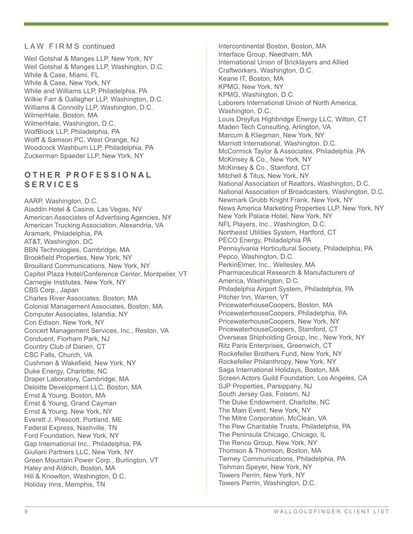#### LAW FIRMS continued

Weil Gotshal & Manges LLP, New York, NY Weil Gotshal & Manges LLP, Washington, D.C. White & Case, Miami, FL White & Case, New York, NY White and Williams LLP, Philadelphia, PA Wilkie Farr & Gallagher LLP, Washington, D.C. Williams & Connolly LLP, Washington, D.C. WilmerHale, Boston, MA WilmerHale, Washington, D.C. WolfBlock LLP, Philadelphia, PA Wolff & Samson PC, West Orange, NJ Woodcock Washburn LLP, Philadelphia, PA Zuckerman Spaeder LLP, New York, NY

## **O T H E R P R O F E S S I O N A L SERVICES**

AARP, Washington, D.C. Aladdin Hotel & Casino, Las Vegas, NV American Associates of Advertising Agencies, NY American Trucking Association, Alexandria, VA Aramark, Philadelphia, PA AT&T, Washington, DC BBN Technologies, Cambridge, MA Brookfield Properties, New York, NY Brouillard Communications, New York, NY Capitol Plaza Hotel/Conference Center, Montpelier, VT Carnegie Institutes, New York, NY CBS Corp., Japan Charles River Associates, Boston, MA Colonial Management Associates, Boston, MA Computer Associates, Islandia, NY Con Edison, New York, NY Concert Management Services, Inc., Reston, VA Conduent, Florham Park, NJ Country Club of Darien, CT CSC Falls, Church, VA Cushman & Wakefield, New York, NY Duke Energy, Charlotte, NC Draper Laboratory, Cambridge, MA Deloitte Development LLC, Boston, MA Ernst & Young, Boston, MA Ernst & Young, Grand Cayman Ernst & Young, New York, NY Everett J. Prescott, Portland, ME Federal Express, Nashville, TN Ford Foundation, New York, NY Gap International Inc., Philadelphia, PA Giuliani Partners LLC, New York, NY Green Mountain Power Corp., Burlington, VT Haley and Aldrich, Boston, MA Hill & Knowlton, Washington, D.C. Holiday Inns, Memphis, TN

Intercontinental Boston, Boston, MA Interface Group, Needham, MA International Union of Bricklayers and Allied Craftworkers, Washington, D.C. Keane IT, Boston, MA KPMG, New York, NY KPMG, Washington, D.C. Laborers International Union of North America, Washington, D.C. Louis Dreyfus Highbridge Energy LLC, Wilton, CT Maden Tech Consulting, Arlington, VA Marcum & Kliegman, New York, NY Marriott International, Washington, D.C. McCormick Taylor & Associates, Philadelphia ,PA McKinsey & Co., New York, NY McKinsey & Co., Stamford, CT Mitchell & Titus, New York, NY National Association of Realtors, Washington, D.C. National Association of Broadcasters, Washington, D.C. Newmark Grubb Knight Frank, New York, NY News America Marketing Properties LLP, New York, NY New York Palace Hotel, New York, NY NFL Players, Inc., Washington, D.C. Northeast Utilities System, Hartford, CT PECO Energy, Philadelphia PA Pennsylvania Horticultural Society, Philadelphia, PA Pepco, Washington, D.C. PerkinElmer, Inc., Wellesley, MA Pharmaceutical Research & Manufacturers of America, Washington, D.C. Philadelphia Airport System, Philadelphia, PA Pitcher Inn, Warren, VT PricewaterhouseCoopers, Boston, MA PricewaterhouseCoopers, Philadelphia, PA PricewaterhouseCoopers, New York, NY PricewaterhouseCoopers, Stamford, CT Overseas Shipholding Group, Inc., New York, NY Ritz Paris Enterprises, Greenwich, CT Rockefeller Brothers Fund, New York, NY Rockefeller Philanthropy, New York, NY Saga International Holidays, Boston, MA Screen Actors Guild Foundation, Los Angeles, CA SJP Properties, Parsippany, NJ South Jersey Gas, Folsom, NJ The Duke Endowment, Charlotte, NC The Main Event, New York, NY The Mitre Corporation, McClean, VA The Pew Charitable Trusts, Philadelphia, PA The Peninsula Chicago, Chicago, IL The Renco Group, New York, NY Thomson & Thomson, Boston, MA Tierney Communications, Philadelphia, PA Tishman Speyer, New York, NY Towers Perrin, New York, NY Towers Perrin, Washington, D.C.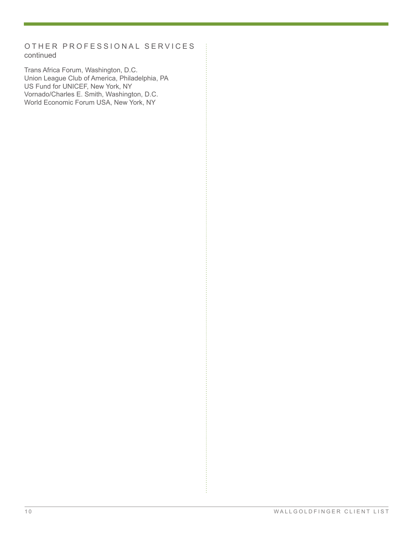## OTHER PROFESSIONAL SERVICES continued

Trans Africa Forum, Washington, D.C. Union League Club of America, Philadelphia, PA US Fund for UNICEF, New York, NY Vornado/Charles E. Smith, Washington, D.C. World Economic Forum USA, New York, NY